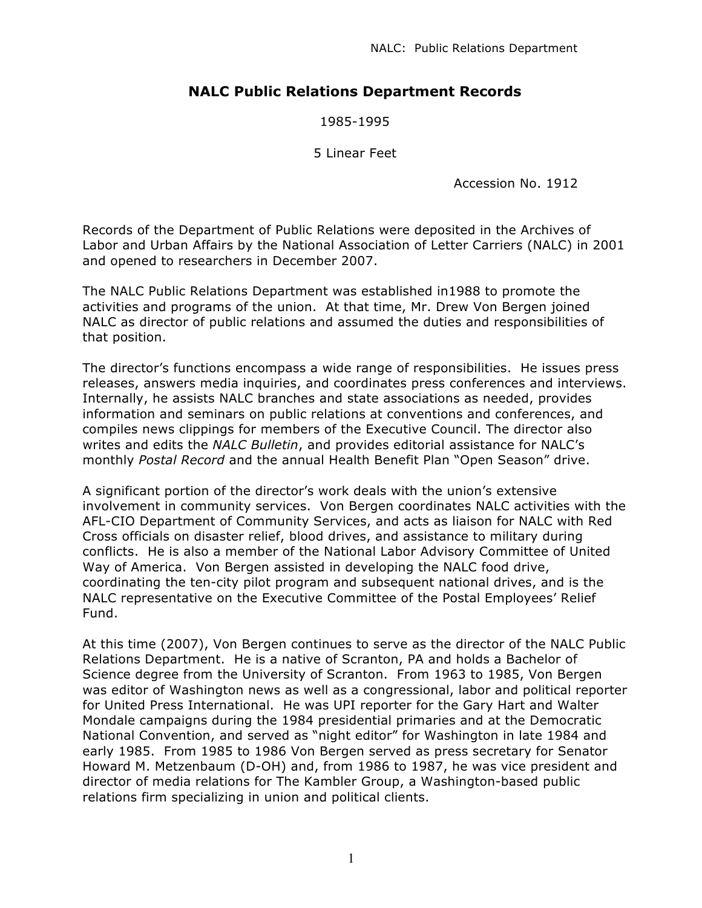# **NALC Public Relations Department Records**

1985-1995

5 Linear Feet

Accession No. 1912

Records of the Department of Public Relations were deposited in the Archives of Labor and Urban Affairs by the National Association of Letter Carriers (NALC) in 2001 and opened to researchers in December 2007.

The NALC Public Relations Department was established in1988 to promote the activities and programs of the union. At that time, Mr. Drew Von Bergen joined NALC as director of public relations and assumed the duties and responsibilities of that position.

The director's functions encompass a wide range of responsibilities. He issues press releases, answers media inquiries, and coordinates press conferences and interviews. Internally, he assists NALC branches and state associations as needed, provides information and seminars on public relations at conventions and conferences, and compiles news clippings for members of the Executive Council. The director also writes and edits the *NALC Bulletin*, and provides editorial assistance for NALC's monthly *Postal Record* and the annual Health Benefit Plan "Open Season" drive.

A significant portion of the director's work deals with the union's extensive involvement in community services. Von Bergen coordinates NALC activities with the AFL-CIO Department of Community Services, and acts as liaison for NALC with Red Cross officials on disaster relief, blood drives, and assistance to military during conflicts. He is also a member of the National Labor Advisory Committee of United Way of America. Von Bergen assisted in developing the NALC food drive, coordinating the ten-city pilot program and subsequent national drives, and is the NALC representative on the Executive Committee of the Postal Employees' Relief Fund.

At this time (2007), Von Bergen continues to serve as the director of the NALC Public Relations Department. He is a native of Scranton, PA and holds a Bachelor of Science degree from the University of Scranton. From 1963 to 1985, Von Bergen was editor of Washington news as well as a congressional, labor and political reporter for United Press International. He was UPI reporter for the Gary Hart and Walter Mondale campaigns during the 1984 presidential primaries and at the Democratic National Convention, and served as "night editor" for Washington in late 1984 and early 1985. From 1985 to 1986 Von Bergen served as press secretary for Senator Howard M. Metzenbaum (D-OH) and, from 1986 to 1987, he was vice president and director of media relations for The Kambler Group, a Washington-based public relations firm specializing in union and political clients.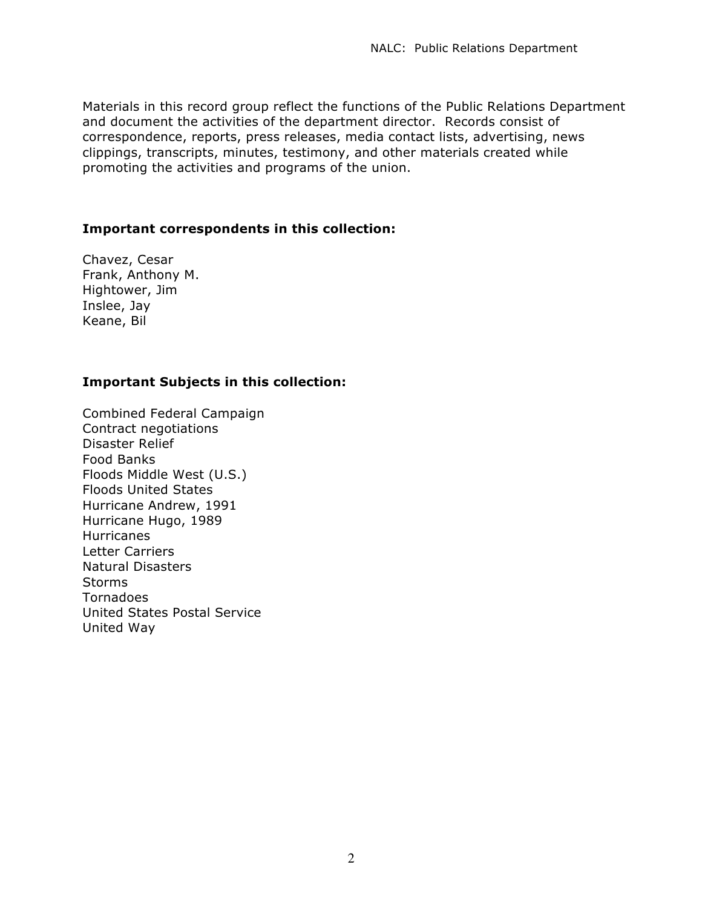Materials in this record group reflect the functions of the Public Relations Department and document the activities of the department director. Records consist of correspondence, reports, press releases, media contact lists, advertising, news clippings, transcripts, minutes, testimony, and other materials created while promoting the activities and programs of the union.

### **Important correspondents in this collection:**

Chavez, Cesar Frank, Anthony M. Hightower, Jim Inslee, Jay Keane, Bil

# **Important Subjects in this collection:**

Combined Federal Campaign Contract negotiations Disaster Relief Food Banks Floods Middle West (U.S.) Floods United States Hurricane Andrew, 1991 Hurricane Hugo, 1989 **Hurricanes** Letter Carriers Natural Disasters **Storms** Tornadoes United States Postal Service United Way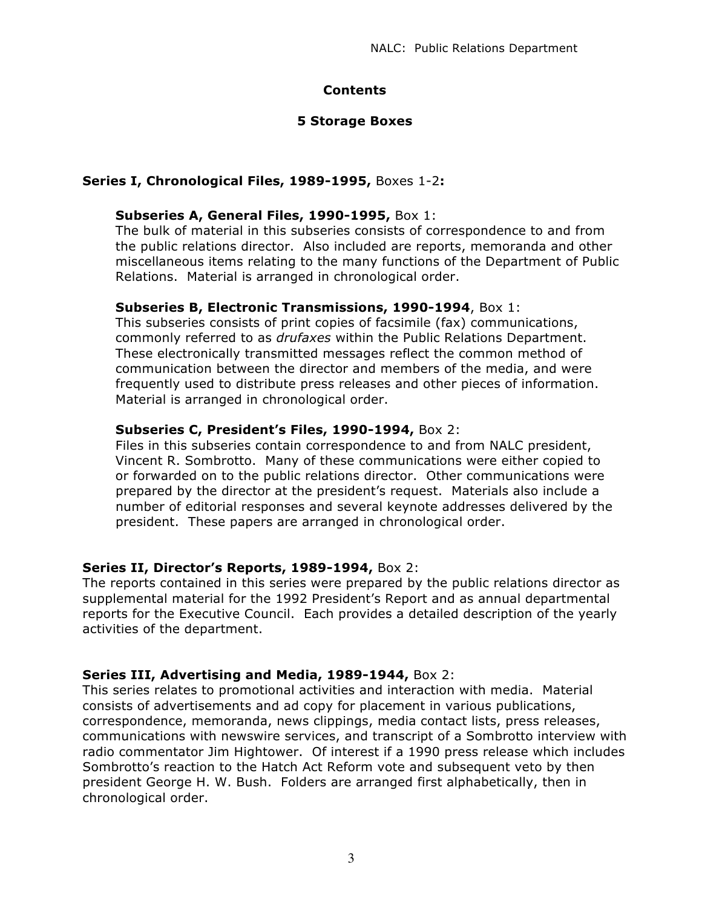# **Contents**

# **5 Storage Boxes**

# **Series I, Chronological Files, 1989-1995,** Boxes 1-2**:**

## **Subseries A, General Files, 1990-1995,** Box 1:

The bulk of material in this subseries consists of correspondence to and from the public relations director. Also included are reports, memoranda and other miscellaneous items relating to the many functions of the Department of Public Relations. Material is arranged in chronological order.

### **Subseries B, Electronic Transmissions, 1990-1994**, Box 1:

This subseries consists of print copies of facsimile (fax) communications, commonly referred to as *drufaxes* within the Public Relations Department. These electronically transmitted messages reflect the common method of communication between the director and members of the media, and were frequently used to distribute press releases and other pieces of information. Material is arranged in chronological order.

# **Subseries C, President's Files, 1990-1994,** Box 2:

Files in this subseries contain correspondence to and from NALC president, Vincent R. Sombrotto. Many of these communications were either copied to or forwarded on to the public relations director. Other communications were prepared by the director at the president's request. Materials also include a number of editorial responses and several keynote addresses delivered by the president. These papers are arranged in chronological order.

# **Series II, Director's Reports, 1989-1994,** Box 2:

The reports contained in this series were prepared by the public relations director as supplemental material for the 1992 President's Report and as annual departmental reports for the Executive Council. Each provides a detailed description of the yearly activities of the department.

# **Series III, Advertising and Media, 1989-1944,** Box 2:

This series relates to promotional activities and interaction with media. Material consists of advertisements and ad copy for placement in various publications, correspondence, memoranda, news clippings, media contact lists, press releases, communications with newswire services, and transcript of a Sombrotto interview with radio commentator Jim Hightower. Of interest if a 1990 press release which includes Sombrotto's reaction to the Hatch Act Reform vote and subsequent veto by then president George H. W. Bush. Folders are arranged first alphabetically, then in chronological order.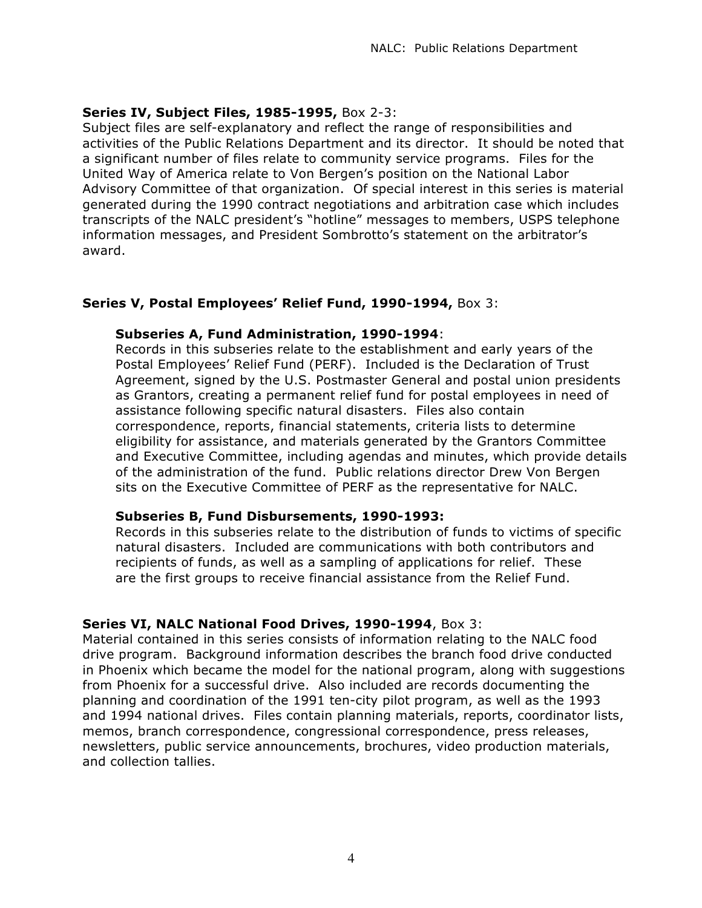### **Series IV, Subject Files, 1985-1995,** Box 2-3:

Subject files are self-explanatory and reflect the range of responsibilities and activities of the Public Relations Department and its director. It should be noted that a significant number of files relate to community service programs. Files for the United Way of America relate to Von Bergen's position on the National Labor Advisory Committee of that organization. Of special interest in this series is material generated during the 1990 contract negotiations and arbitration case which includes transcripts of the NALC president's "hotline" messages to members, USPS telephone information messages, and President Sombrotto's statement on the arbitrator's award.

### **Series V, Postal Employees' Relief Fund, 1990-1994,** Box 3:

### **Subseries A, Fund Administration, 1990-1994**:

Records in this subseries relate to the establishment and early years of the Postal Employees' Relief Fund (PERF). Included is the Declaration of Trust Agreement, signed by the U.S. Postmaster General and postal union presidents as Grantors, creating a permanent relief fund for postal employees in need of assistance following specific natural disasters. Files also contain correspondence, reports, financial statements, criteria lists to determine eligibility for assistance, and materials generated by the Grantors Committee and Executive Committee, including agendas and minutes, which provide details of the administration of the fund. Public relations director Drew Von Bergen sits on the Executive Committee of PERF as the representative for NALC.

### **Subseries B, Fund Disbursements, 1990-1993:**

Records in this subseries relate to the distribution of funds to victims of specific natural disasters. Included are communications with both contributors and recipients of funds, as well as a sampling of applications for relief. These are the first groups to receive financial assistance from the Relief Fund.

### **Series VI, NALC National Food Drives, 1990-1994**, Box 3:

Material contained in this series consists of information relating to the NALC food drive program. Background information describes the branch food drive conducted in Phoenix which became the model for the national program, along with suggestions from Phoenix for a successful drive. Also included are records documenting the planning and coordination of the 1991 ten-city pilot program, as well as the 1993 and 1994 national drives. Files contain planning materials, reports, coordinator lists, memos, branch correspondence, congressional correspondence, press releases, newsletters, public service announcements, brochures, video production materials, and collection tallies.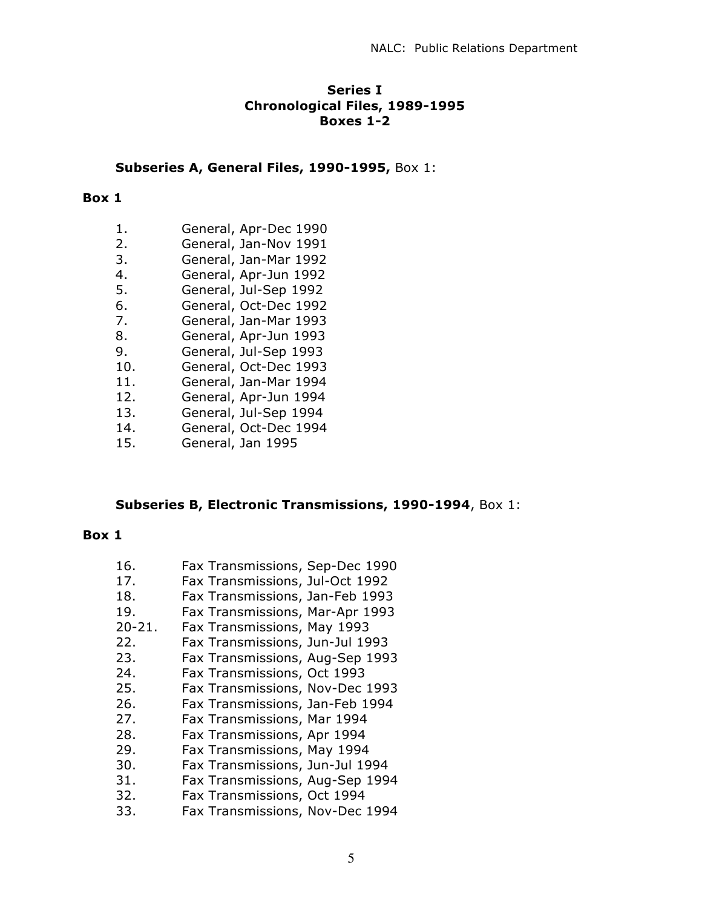#### **Series I Chronological Files, 1989-1995 Boxes 1-2**

#### **Subseries A, General Files, 1990-1995,** Box 1:

#### **Box 1**

- 1. General, Apr-Dec 1990
- 2. General, Jan-Nov 1991
- 3. General, Jan-Mar 1992
- 4. General, Apr-Jun 1992
- 5. General, Jul-Sep 1992
- 6. General, Oct-Dec 1992
- 7. General, Jan-Mar 1993
- 8. General, Apr-Jun 1993
- 9. General, Jul-Sep 1993
- 10. General, Oct-Dec 1993
- 11. General, Jan-Mar 1994
- 12. General, Apr-Jun 1994
- 13. General, Jul-Sep 1994
- 14. General, Oct-Dec 1994
- 15. General, Jan 1995

### **Subseries B, Electronic Transmissions, 1990-1994**, Box 1:

#### **Box 1**

16. Fax Transmissions, Sep-Dec 1990 17. Fax Transmissions, Jul-Oct 1992 18. Fax Transmissions, Jan-Feb 1993 19. Fax Transmissions, Mar-Apr 1993 20-21. Fax Transmissions, May 1993 22. Fax Transmissions, Jun-Jul 1993 23. Fax Transmissions, Aug-Sep 1993 24. Fax Transmissions, Oct 1993 25. Fax Transmissions, Nov-Dec 1993 26. Fax Transmissions, Jan-Feb 1994 27. Fax Transmissions, Mar 1994 28. Fax Transmissions, Apr 1994 29. Fax Transmissions, May 1994 30. Fax Transmissions, Jun-Jul 1994 31. Fax Transmissions, Aug-Sep 1994 32. Fax Transmissions, Oct 1994 33. Fax Transmissions, Nov-Dec 1994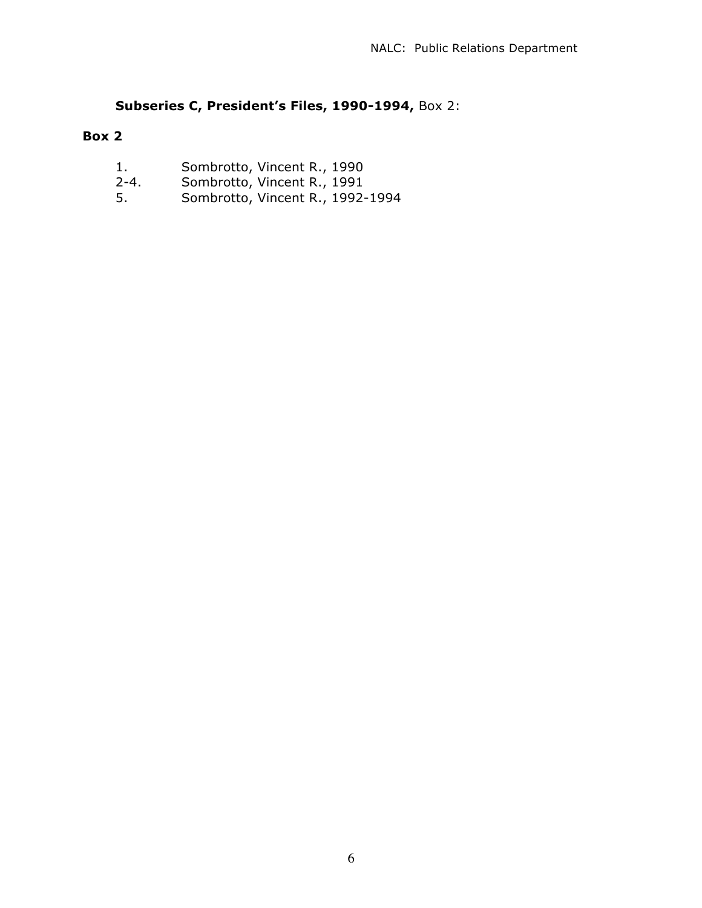# **Subseries C, President's Files, 1990-1994,** Box 2:

- 1. Sombrotto, Vincent R., 1990
- 2-4. Sombrotto, Vincent R., 1991
	- 5. Sombrotto, Vincent R., 1992-1994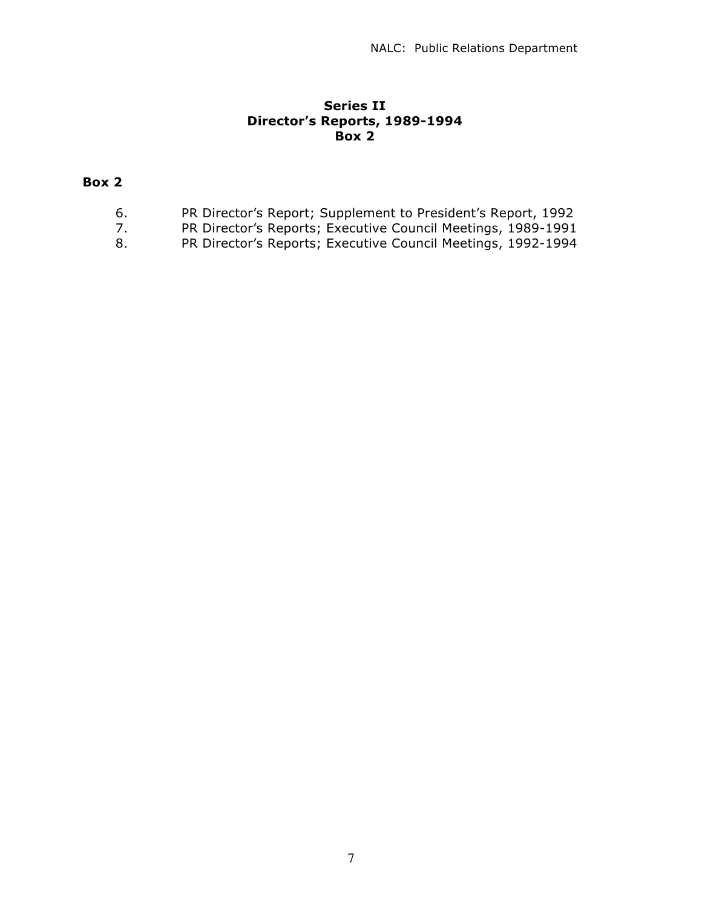### **Series II Director's Reports, 1989-1994 Box 2**

- 6. PR Director's Report; Supplement to President's Report, 1992
- 7. PR Director's Reports; Executive Council Meetings, 1989-1991
- 8. PR Director's Reports; Executive Council Meetings, 1992-1994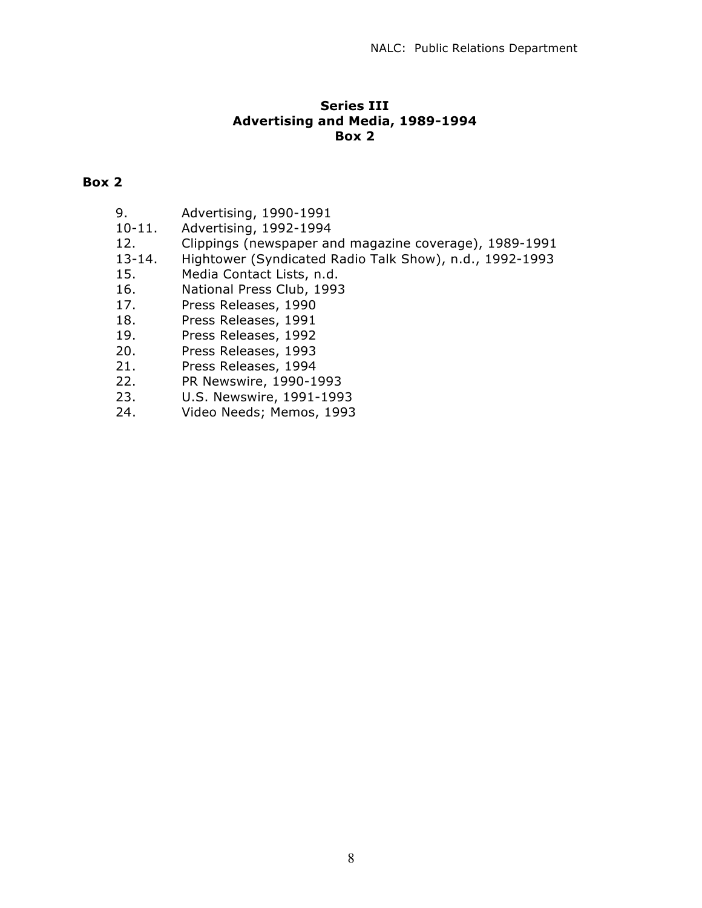### **Series III Advertising and Media, 1989-1994 Box 2**

- 9. Advertising, 1990-1991
- 10-11. Advertising, 1992-1994
- 12. Clippings (newspaper and magazine coverage), 1989-1991
- 13-14. Hightower (Syndicated Radio Talk Show), n.d., 1992-1993
- 15. Media Contact Lists, n.d.
- 16. National Press Club, 1993
- 17. Press Releases, 1990
- 18. Press Releases, 1991
- 19. Press Releases, 1992
- 20. Press Releases, 1993
- 21. Press Releases, 1994
- 22. PR Newswire, 1990-1993
- 23. U.S. Newswire, 1991-1993
- 24. Video Needs; Memos, 1993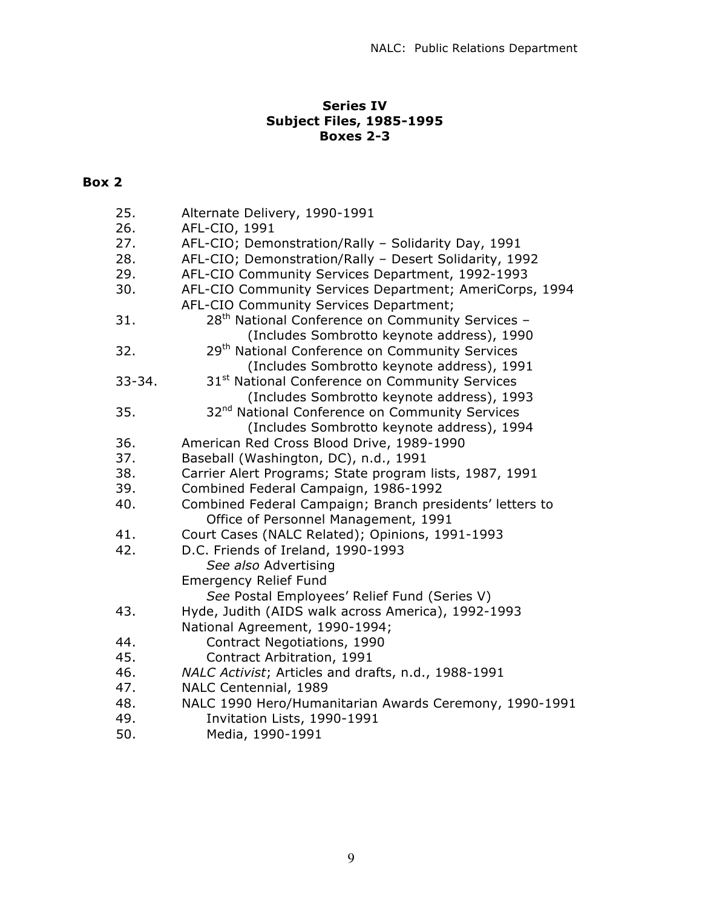# **Series IV Subject Files, 1985-1995 Boxes 2-3**

| 25.        | Alternate Delivery, 1990-1991                                |
|------------|--------------------------------------------------------------|
| 26.        | AFL-CIO, 1991                                                |
| 27.        | AFL-CIO; Demonstration/Rally - Solidarity Day, 1991          |
| 28.        | AFL-CIO; Demonstration/Rally - Desert Solidarity, 1992       |
| 29.        | AFL-CIO Community Services Department, 1992-1993             |
| 30.        | AFL-CIO Community Services Department; AmeriCorps, 1994      |
|            | AFL-CIO Community Services Department;                       |
| 31.        | 28 <sup>th</sup> National Conference on Community Services - |
|            | (Includes Sombrotto keynote address), 1990                   |
| 32.        | 29 <sup>th</sup> National Conference on Community Services   |
|            | (Includes Sombrotto keynote address), 1991                   |
| $33 - 34.$ | 31 <sup>st</sup> National Conference on Community Services   |
|            | (Includes Sombrotto keynote address), 1993                   |
| 35.        | 32 <sup>nd</sup> National Conference on Community Services   |
|            | (Includes Sombrotto keynote address), 1994                   |
| 36.        | American Red Cross Blood Drive, 1989-1990                    |
| 37.        | Baseball (Washington, DC), n.d., 1991                        |
| 38.        | Carrier Alert Programs; State program lists, 1987, 1991      |
| 39.        | Combined Federal Campaign, 1986-1992                         |
| 40.        | Combined Federal Campaign; Branch presidents' letters to     |
|            | Office of Personnel Management, 1991                         |
| 41.        | Court Cases (NALC Related); Opinions, 1991-1993              |
| 42.        | D.C. Friends of Ireland, 1990-1993                           |
|            | See also Advertising                                         |
|            | <b>Emergency Relief Fund</b>                                 |
|            | See Postal Employees' Relief Fund (Series V)                 |
| 43.        | Hyde, Judith (AIDS walk across America), 1992-1993           |
|            | National Agreement, 1990-1994;                               |
| 44.        | Contract Negotiations, 1990                                  |
| 45.        | Contract Arbitration, 1991                                   |
| 46.        | NALC Activist; Articles and drafts, n.d., 1988-1991          |
| 47.        | NALC Centennial, 1989                                        |
| 48.        | NALC 1990 Hero/Humanitarian Awards Ceremony, 1990-1991       |
| 49.        | Invitation Lists, 1990-1991                                  |
| 50.        | Media, 1990-1991                                             |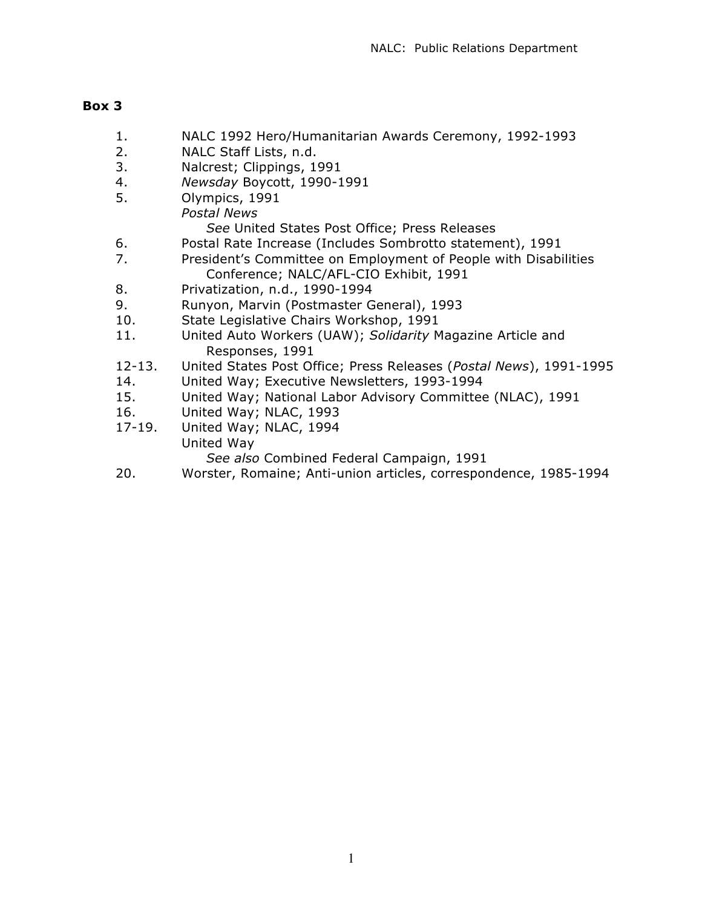### **Box 3**

- 1. NALC 1992 Hero/Humanitarian Awards Ceremony, 1992-1993
- 2. NALC Staff Lists, n.d.
- 3. Nalcrest; Clippings, 1991
- 4. *Newsday* Boycott, 1990-1991
- 5. Olympics, 1991 *Postal News See* United States Post Office; Press Releases
- 6. Postal Rate Increase (Includes Sombrotto statement), 1991
- 7. President's Committee on Employment of People with Disabilities Conference; NALC/AFL-CIO Exhibit, 1991
- 8. Privatization, n.d., 1990-1994
- 9. Runyon, Marvin (Postmaster General), 1993
- 10. State Legislative Chairs Workshop, 1991
- 11. United Auto Workers (UAW); *Solidarity* Magazine Article and Responses, 1991
- 12-13. United States Post Office; Press Releases (*Postal News*), 1991-1995
- 14. United Way; Executive Newsletters, 1993-1994
- 15. United Way; National Labor Advisory Committee (NLAC), 1991
- 16. United Way; NLAC, 1993
- 17-19. United Way; NLAC, 1994
	- United Way

*See also* Combined Federal Campaign, 1991

20. Worster, Romaine; Anti-union articles, correspondence, 1985-1994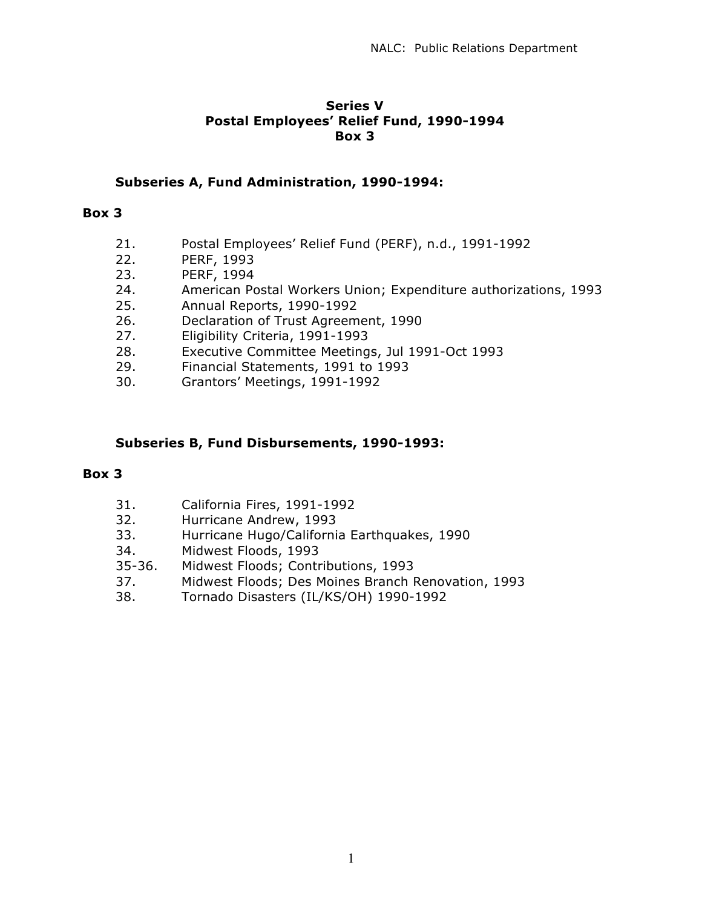### **Series V Postal Employees' Relief Fund, 1990-1994 Box 3**

### **Subseries A, Fund Administration, 1990-1994:**

#### **Box 3**

- 21. Postal Employees' Relief Fund (PERF), n.d., 1991-1992
- 22. PERF, 1993
- 23. PERF, 1994
- 24. American Postal Workers Union; Expenditure authorizations, 1993
- 25. Annual Reports, 1990-1992
- 26. Declaration of Trust Agreement, 1990
- 27. Eligibility Criteria, 1991-1993
- 28. Executive Committee Meetings, Jul 1991-Oct 1993
- 29. Financial Statements, 1991 to 1993
- 30. Grantors' Meetings, 1991-1992

### **Subseries B, Fund Disbursements, 1990-1993:**

- 31. California Fires, 1991-1992
- 32. Hurricane Andrew, 1993
- 33. Hurricane Hugo/California Earthquakes, 1990
- 34. Midwest Floods, 1993
- 35-36. Midwest Floods; Contributions, 1993
- 37. Midwest Floods; Des Moines Branch Renovation, 1993
- 38. Tornado Disasters (IL/KS/OH) 1990-1992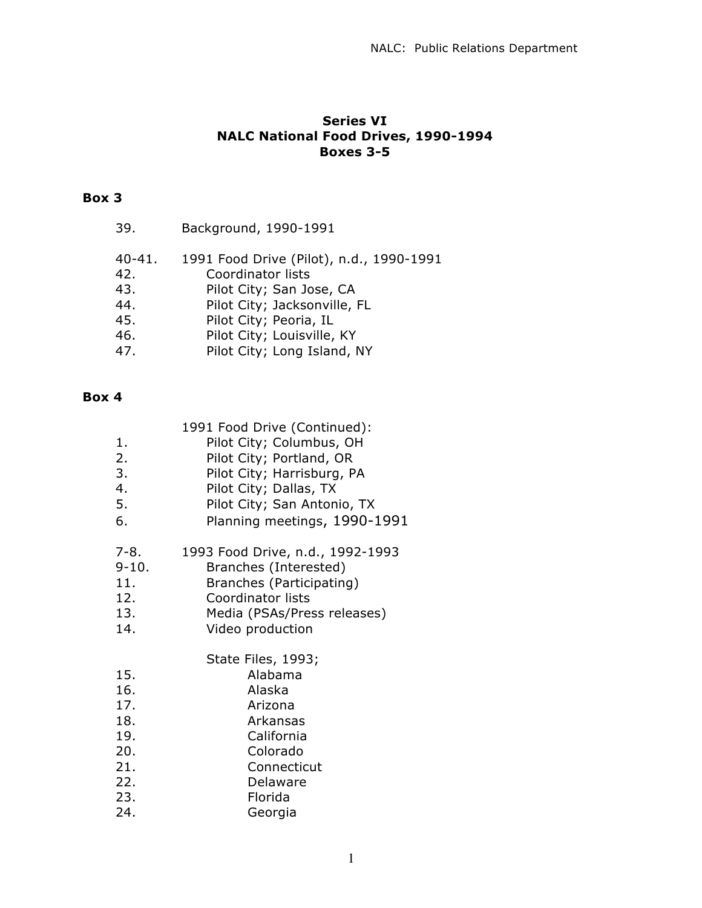# **Series VI NALC National Food Drives, 1990-1994 Boxes 3-5**

# **Box 3**

| 39.               | Background, 1990-1991                                                |
|-------------------|----------------------------------------------------------------------|
| $40 - 41.$<br>42. | 1991 Food Drive (Pilot), n.d., 1990-1991<br><b>Coordinator lists</b> |
| 43.               | Pilot City; San Jose, CA                                             |
| 44.               | Pilot City; Jacksonville, FL                                         |
| 45.               | Pilot City; Peoria, IL                                               |
| 46.               | Pilot City; Louisville, KY                                           |
| 47.               | Pilot City; Long Island, NY                                          |
|                   |                                                                      |

|  | 1991 Food Drive (Continued): |
|--|------------------------------|
|  |                              |

| 1.                                                          | Pilot City; Columbus, OH                                                                                                       |
|-------------------------------------------------------------|--------------------------------------------------------------------------------------------------------------------------------|
| 2.                                                          | Pilot City; Portland, OR                                                                                                       |
| 3.                                                          | Pilot City; Harrisburg, PA                                                                                                     |
| 4.                                                          | Pilot City; Dallas, TX                                                                                                         |
| 5.                                                          | Pilot City; San Antonio, TX                                                                                                    |
| 6.                                                          | Planning meetings, 1990-1991                                                                                                   |
| 7-8.                                                        | 1993 Food Drive, n.d., 1992-1993                                                                                               |
| $9 - 10.$                                                   | Branches (Interested)                                                                                                          |
| 11.                                                         | Branches (Participating)                                                                                                       |
| 12.                                                         | Coordinator lists                                                                                                              |
| 13.                                                         | Media (PSAs/Press releases)                                                                                                    |
| 14.                                                         | Video production                                                                                                               |
| 15.<br>16.<br>17.<br>18.<br>19.<br>20.<br>21.<br>22.<br>23. | State Files, 1993;<br>Alabama<br>Alaska<br>Arizona<br>Arkansas<br>California<br>Colorado<br>Connecticut<br>Delaware<br>Florida |
| 24.                                                         | Georgia                                                                                                                        |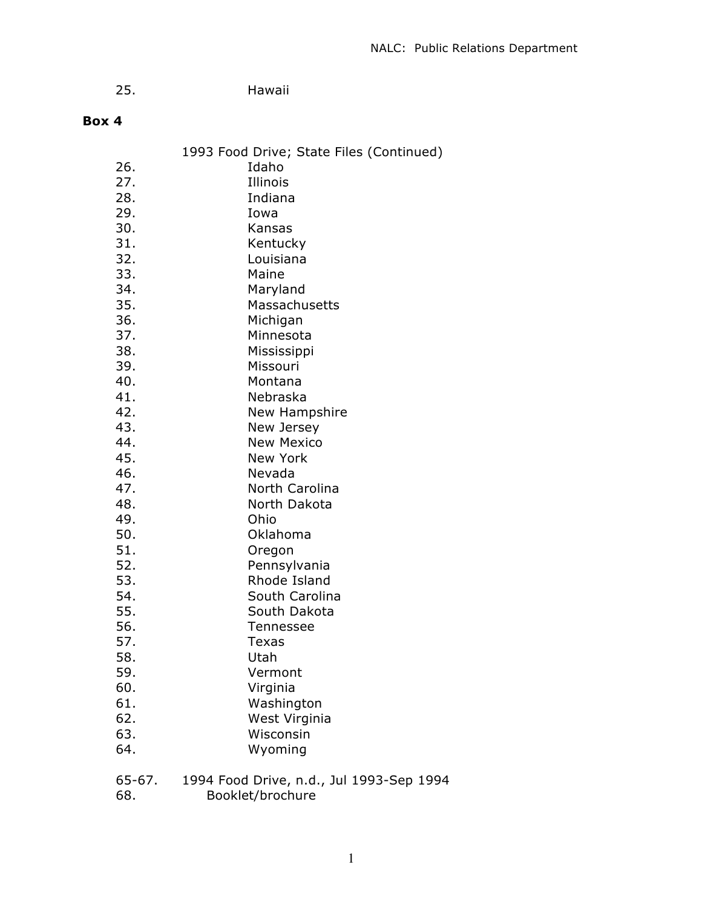| 25. | Hawaii |
|-----|--------|
|     |        |

# **Box 4**

|            | 1993 Food Drive; State Files (Continued) |
|------------|------------------------------------------|
| 26.        | Idaho                                    |
| 27.        | Illinois                                 |
| 28.        | Indiana                                  |
| 29.        | Iowa                                     |
| 30.        | Kansas                                   |
| 31.        | Kentucky                                 |
| 32.        | Louisiana                                |
| 33.        | Maine                                    |
| 34.        | Maryland                                 |
| 35.        | Massachusetts                            |
| 36.        | Michigan                                 |
| 37.        | Minnesota                                |
| 38.        | Mississippi                              |
| 39.        | Missouri                                 |
| 40.        | Montana                                  |
| 41.        | Nebraska                                 |
| 42.        | New Hampshire                            |
| 43.        | New Jersey                               |
| 44.        | <b>New Mexico</b>                        |
| 45.        | New York                                 |
| 46.        | Nevada                                   |
| 47.        | North Carolina                           |
| 48.        | North Dakota                             |
| 49.        | Ohio                                     |
| 50.        | Oklahoma                                 |
| 51.        |                                          |
| 52.        | Oregon                                   |
| 53.        | Pennsylvania<br>Rhode Island             |
| 54.        | South Carolina                           |
| 55.        | South Dakota                             |
| 56.        | Tennessee                                |
| 57.        | <b>Texas</b>                             |
| 58.        |                                          |
|            | Utah<br>Vermont                          |
| 59.<br>60. |                                          |
| 61.        | Virginia                                 |
| 62.        | Washington                               |
|            | West Virginia                            |
| 63.        | Wisconsin                                |
| 64.        | Wyoming                                  |
| 65-67.     | 1994 Food Drive, n.d., Jul 1993-Sep 1994 |
| $\epsilon$ | $D = Ll + Lk$                            |

68. Booklet/brochure